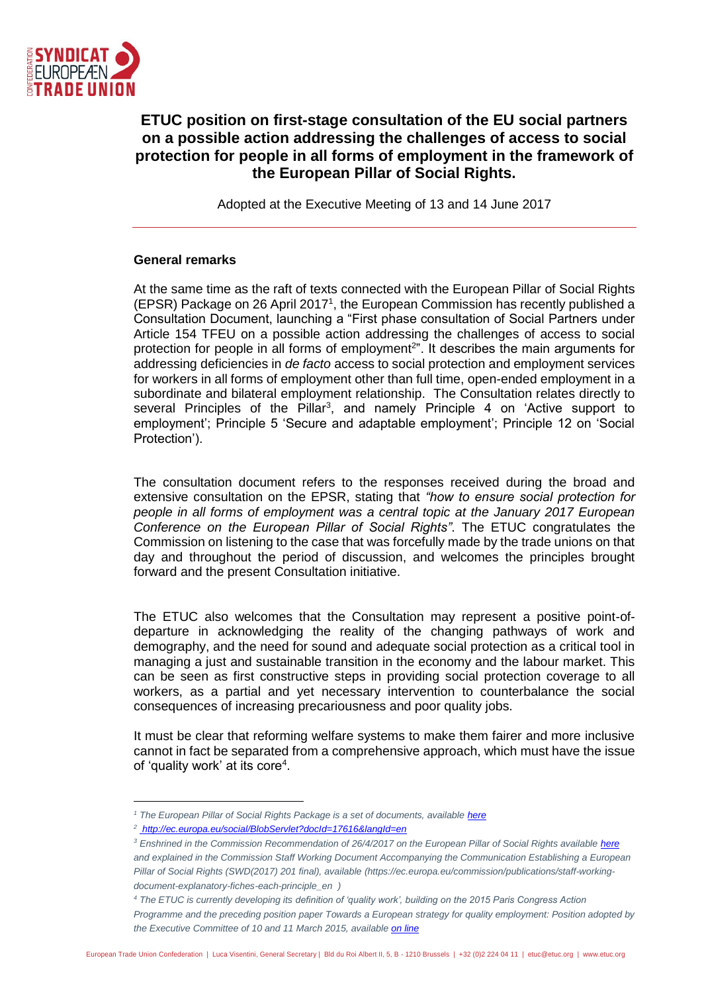

# **ETUC position on first-stage consultation of the EU social partners on a possible action addressing the challenges of access to social protection for people in all forms of employment in the framework of the European Pillar of Social Rights.**

Adopted at the Executive Meeting of 13 and 14 June 2017

#### **General remarks**

At the same time as the raft of texts connected with the European Pillar of Social Rights (EPSR) Package on 26 April 2017<sup>1</sup> , the European Commission has recently published a Consultation Document, launching a "First phase consultation of Social Partners under Article 154 TFEU on a possible action addressing the challenges of access to social protection for people in all forms of employment<sup>2</sup>". It describes the main arguments for addressing deficiencies in *de facto* access to social protection and employment services for workers in all forms of employment other than full time, open-ended employment in a subordinate and bilateral employment relationship. The Consultation relates directly to several Principles of the Pillar<sup>3</sup>, and namely Principle 4 on 'Active support to employment'; Principle 5 'Secure and adaptable employment'; Principle 12 on 'Social Protection').

The consultation document refers to the responses received during the broad and extensive consultation on the EPSR, stating that *"how to ensure social protection for people in all forms of employment was a central topic at the January 2017 European Conference on the European Pillar of Social Rights"*. The ETUC congratulates the Commission on listening to the case that was forcefully made by the trade unions on that day and throughout the period of discussion, and welcomes the principles brought forward and the present Consultation initiative.

The ETUC also welcomes that the Consultation may represent a positive point-ofdeparture in acknowledging the reality of the changing pathways of work and demography, and the need for sound and adequate social protection as a critical tool in managing a just and sustainable transition in the economy and the labour market. This can be seen as first constructive steps in providing social protection coverage to all workers, as a partial and yet necessary intervention to counterbalance the social consequences of increasing precariousness and poor quality jobs.

It must be clear that reforming welfare systems to make them fairer and more inclusive cannot in fact be separated from a comprehensive approach, which must have the issue of 'quality work' at its core<sup>4</sup>.

<sup>&</sup>lt;sup>1</sup> The European Pillar of Social Rights Package is a set of documents, available *[here](https://ec.europa.eu/commission/priorities/deeper-and-fairer-economic-and-monetary-union/european-pillar-social-rights_en)* 

*<sup>2</sup> <http://ec.europa.eu/social/BlobServlet?docId=17616&langId=en>*

<sup>&</sup>lt;sup>3</sup> Enshrined in the Commission Recommendation of 26/4/2017 on the European Pillar of Social Rights available *[here](http://eur-lex.europa.eu/legal-content/EN/ALL/?uri=COM:2017:0250:FIN) and explained in the Commission Staff Working Document Accompanying the Communication Establishing a European Pillar of Social Rights (SWD(2017) 201 final), available (https://ec.europa.eu/commission/publications/staff-workingdocument-explanatory-fiches-each-principle\_en )* 

*<sup>4</sup> The ETUC is currently developing its definition of 'quality work', building on the 2015 Paris Congress Action Programme and the preceding position paper Towards a European strategy for quality employment: Position adopted by the Executive Committee of 10 and 11 March 2015, available [on line](https://www.etuc.org/documents/towards-european-strategy-quality-employment#.WR2n42j5hPY)*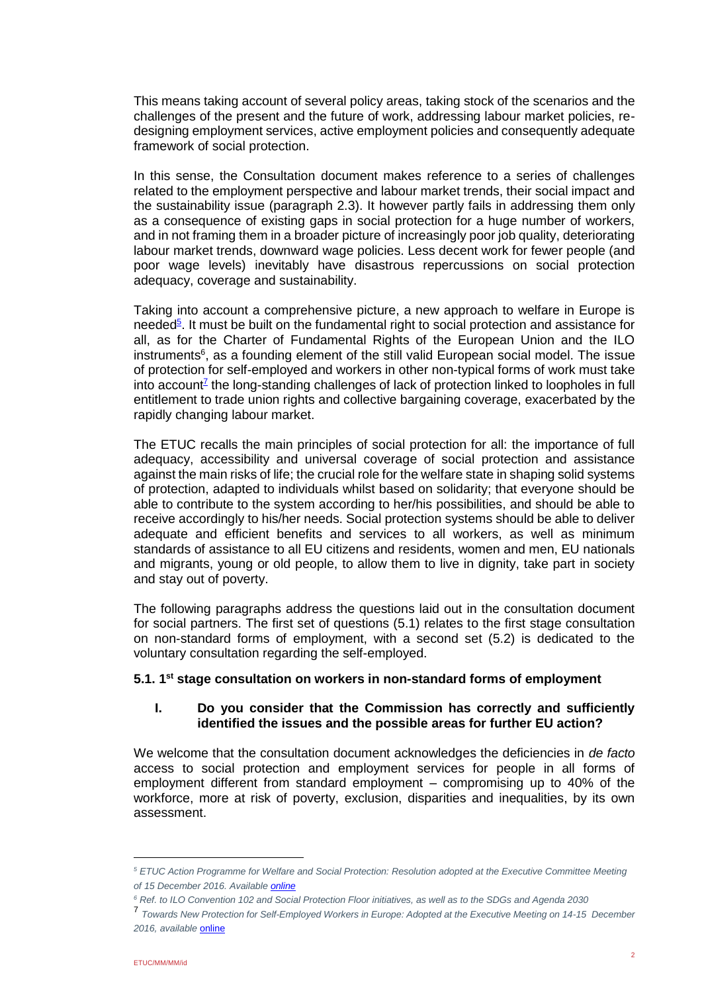This means taking account of several policy areas, taking stock of the scenarios and the challenges of the present and the future of work, addressing labour market policies, redesigning employment services, active employment policies and consequently adequate framework of social protection.

In this sense, the Consultation document makes reference to a series of challenges related to the employment perspective and labour market trends, their social impact and the sustainability issue (paragraph 2.3). It however partly fails in addressing them only as a consequence of existing gaps in social protection for a huge number of workers, and in not framing them in a broader picture of increasingly poor job quality, deteriorating labour market trends, downward wage policies. Less decent work for fewer people (and poor wage levels) inevitably have disastrous repercussions on social protection adequacy, coverage and sustainability.

Taking into account a comprehensive picture, a new approach to welfare in Europe is needed<sup>5</sup>. It must be built on the fundamental right to social protection and assistance for all, as for the Charter of Fundamental Rights of the European Union and the ILO instruments<sup>6</sup>, as a founding element of the still valid European social model. The issue of protection for self-employed and workers in other non-typical forms of work must take into account<sup>z</sup> the long-standing challenges of lack of protection linked to loopholes in full entitlement to trade union rights and collective bargaining coverage, exacerbated by the rapidly changing labour market.

The ETUC recalls the main principles of social protection for all: the importance of full adequacy, accessibility and universal coverage of social protection and assistance against the main risks of life; the crucial role for the welfare state in shaping solid systems of protection, adapted to individuals whilst based on solidarity; that everyone should be able to contribute to the system according to her/his possibilities, and should be able to receive accordingly to his/her needs. Social protection systems should be able to deliver adequate and efficient benefits and services to all workers, as well as minimum standards of assistance to all EU citizens and residents, women and men, EU nationals and migrants, young or old people, to allow them to live in dignity, take part in society and stay out of poverty.

The following paragraphs address the questions laid out in the consultation document for social partners. The first set of questions (5.1) relates to the first stage consultation on non-standard forms of employment, with a second set (5.2) is dedicated to the voluntary consultation regarding the self-employed.

### **5.1. 1st stage consultation on workers in non-standard forms of employment**

# **I. Do you consider that the Commission has correctly and sufficiently identified the issues and the possible areas for further EU action?**

We welcome that the consultation document acknowledges the deficiencies in *de facto* access to social protection and employment services for people in all forms of employment different from standard employment – compromising up to 40% of the workforce, more at risk of poverty, exclusion, disparities and inequalities, by its own assessment.

*<sup>5</sup> ETUC Action Programme for Welfare and Social Protection: Resolution adopted at the Executive Committee Meeting of 15 December 2016. Availabl[e online](https://www.etuc.org/documents/etuc-action-programme-welfare-and-social-protection#.WR2oEGj5hPY)*

*<sup>6</sup> Ref. to ILO Convention 102 and Social Protection Floor initiatives, as well as to the SDGs and Agenda 2030* 

<sup>7</sup> *Towards New Protection for Self-Employed Workers in Europe: Adopted at the Executive Meeting on 14-15 December 2016, available* [online](https://www.etuc.org/documents/towards-new-protection-self-employed-workers-europe#.WR2oKGj5hPY)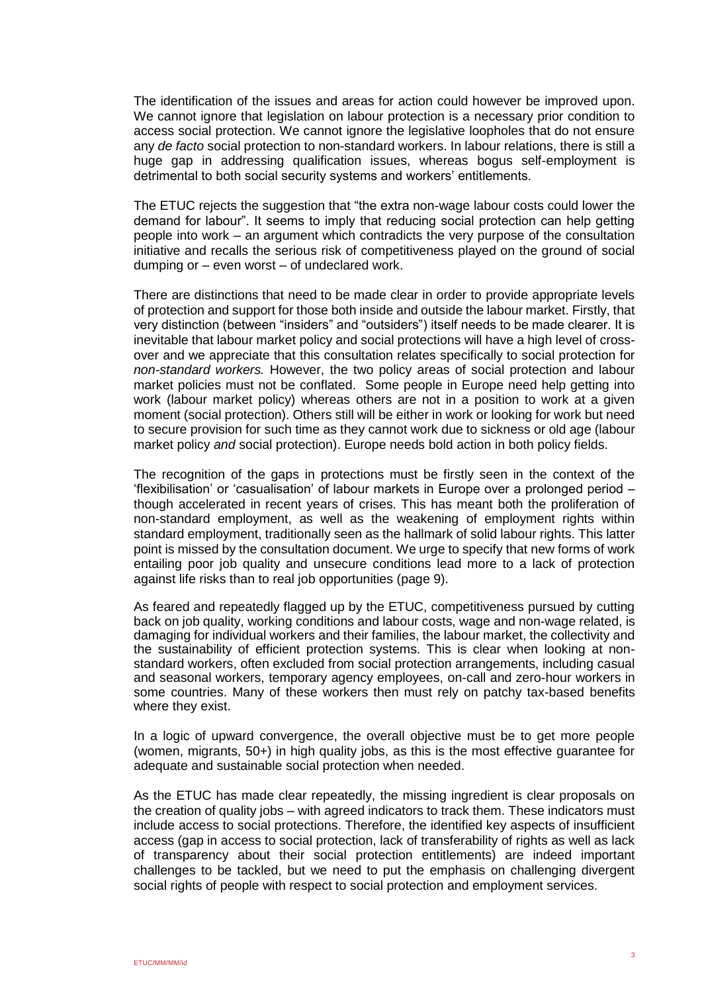The identification of the issues and areas for action could however be improved upon. We cannot ignore that legislation on labour protection is a necessary prior condition to access social protection. We cannot ignore the legislative loopholes that do not ensure any *de facto* social protection to non-standard workers. In labour relations, there is still a huge gap in addressing qualification issues, whereas bogus self-employment is detrimental to both social security systems and workers' entitlements.

The ETUC rejects the suggestion that "the extra non-wage labour costs could lower the demand for labour". It seems to imply that reducing social protection can help getting people into work – an argument which contradicts the very purpose of the consultation initiative and recalls the serious risk of competitiveness played on the ground of social dumping or – even worst – of undeclared work.

There are distinctions that need to be made clear in order to provide appropriate levels of protection and support for those both inside and outside the labour market. Firstly, that very distinction (between "insiders" and "outsiders") itself needs to be made clearer. It is inevitable that labour market policy and social protections will have a high level of crossover and we appreciate that this consultation relates specifically to social protection for *non-standard workers.* However, the two policy areas of social protection and labour market policies must not be conflated. Some people in Europe need help getting into work (labour market policy) whereas others are not in a position to work at a given moment (social protection). Others still will be either in work or looking for work but need to secure provision for such time as they cannot work due to sickness or old age (labour market policy *and* social protection). Europe needs bold action in both policy fields.

The recognition of the gaps in protections must be firstly seen in the context of the 'flexibilisation' or 'casualisation' of labour markets in Europe over a prolonged period – though accelerated in recent years of crises. This has meant both the proliferation of non-standard employment, as well as the weakening of employment rights within standard employment, traditionally seen as the hallmark of solid labour rights. This latter point is missed by the consultation document. We urge to specify that new forms of work entailing poor job quality and unsecure conditions lead more to a lack of protection against life risks than to real job opportunities (page 9).

As feared and repeatedly flagged up by the ETUC, competitiveness pursued by cutting back on job quality, working conditions and labour costs, wage and non-wage related, is damaging for individual workers and their families, the labour market, the collectivity and the sustainability of efficient protection systems. This is clear when looking at nonstandard workers, often excluded from social protection arrangements, including casual and seasonal workers, temporary agency employees, on-call and zero-hour workers in some countries. Many of these workers then must rely on patchy tax-based benefits where they exist.

In a logic of upward convergence, the overall objective must be to get more people (women, migrants, 50+) in high quality jobs, as this is the most effective guarantee for adequate and sustainable social protection when needed.

As the ETUC has made clear repeatedly, the missing ingredient is clear proposals on the creation of quality jobs – with agreed indicators to track them. These indicators must include access to social protections. Therefore, the identified key aspects of insufficient access (gap in access to social protection, lack of transferability of rights as well as lack of transparency about their social protection entitlements) are indeed important challenges to be tackled, but we need to put the emphasis on challenging divergent social rights of people with respect to social protection and employment services.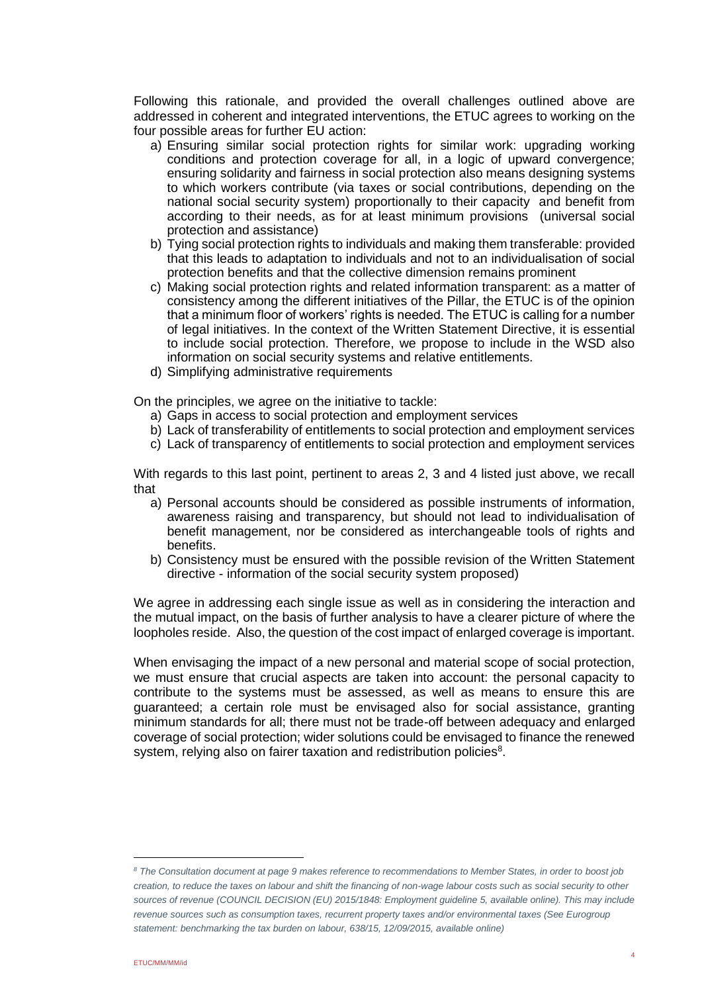Following this rationale, and provided the overall challenges outlined above are addressed in coherent and integrated interventions, the ETUC agrees to working on the four possible areas for further EU action:

- a) Ensuring similar social protection rights for similar work: upgrading working conditions and protection coverage for all, in a logic of upward convergence; ensuring solidarity and fairness in social protection also means designing systems to which workers contribute (via taxes or social contributions, depending on the national social security system) proportionally to their capacity and benefit from according to their needs, as for at least minimum provisions (universal social protection and assistance)
- b) Tying social protection rights to individuals and making them transferable: provided that this leads to adaptation to individuals and not to an individualisation of social protection benefits and that the collective dimension remains prominent
- c) Making social protection rights and related information transparent: as a matter of consistency among the different initiatives of the Pillar, the ETUC is of the opinion that a minimum floor of workers' rights is needed. The ETUC is calling for a number of legal initiatives. In the context of the Written Statement Directive, it is essential to include social protection. Therefore, we propose to include in the WSD also information on social security systems and relative entitlements.
- d) Simplifying administrative requirements

On the principles, we agree on the initiative to tackle:

- a) Gaps in access to social protection and employment services
- b) Lack of transferability of entitlements to social protection and employment services
- c) Lack of transparency of entitlements to social protection and employment services

With regards to this last point, pertinent to areas 2, 3 and 4 listed just above, we recall that

- a) Personal accounts should be considered as possible instruments of information, awareness raising and transparency, but should not lead to individualisation of benefit management, nor be considered as interchangeable tools of rights and benefits.
- b) Consistency must be ensured with the possible revision of the Written Statement directive - information of the social security system proposed)

We agree in addressing each single issue as well as in considering the interaction and the mutual impact, on the basis of further analysis to have a clearer picture of where the loopholes reside. Also, the question of the cost impact of enlarged coverage is important.

When envisaging the impact of a new personal and material scope of social protection, we must ensure that crucial aspects are taken into account: the personal capacity to contribute to the systems must be assessed, as well as means to ensure this are guaranteed; a certain role must be envisaged also for social assistance, granting minimum standards for all; there must not be trade-off between adequacy and enlarged coverage of social protection; wider solutions could be envisaged to finance the renewed system, relying also on fairer taxation and redistribution policies<sup>8</sup>.

*<sup>8</sup> The Consultation document at page 9 makes reference to recommendations to Member States, in order to boost job creation, to reduce the taxes on labour and shift the financing of non-wage labour costs such as social security to other*  sources of revenue (COUNCIL DECISION (EU) 2015/1848: Employment guideline 5, available online). This may include *revenue sources such as consumption taxes, recurrent property taxes and/or environmental taxes (See Eurogroup statement: benchmarking the tax burden on labour, 638/15, 12/09/2015, available online)*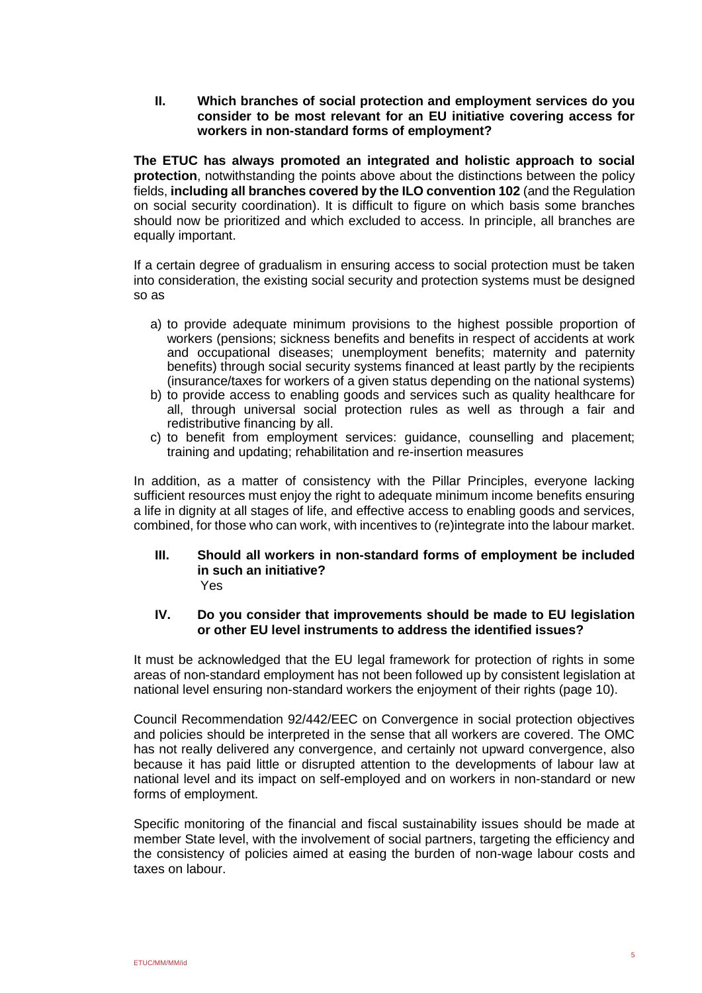**II. Which branches of social protection and employment services do you consider to be most relevant for an EU initiative covering access for workers in non-standard forms of employment?** 

**The ETUC has always promoted an integrated and holistic approach to social protection**, notwithstanding the points above about the distinctions between the policy fields, **including all branches covered by the ILO convention 102** (and the Regulation on social security coordination). It is difficult to figure on which basis some branches should now be prioritized and which excluded to access. In principle, all branches are equally important.

If a certain degree of gradualism in ensuring access to social protection must be taken into consideration, the existing social security and protection systems must be designed so as

- a) to provide adequate minimum provisions to the highest possible proportion of workers (pensions; sickness benefits and benefits in respect of accidents at work and occupational diseases; unemployment benefits; maternity and paternity benefits) through social security systems financed at least partly by the recipients (insurance/taxes for workers of a given status depending on the national systems)
- b) to provide access to enabling goods and services such as quality healthcare for all, through universal social protection rules as well as through a fair and redistributive financing by all.
- c) to benefit from employment services: guidance, counselling and placement; training and updating; rehabilitation and re-insertion measures

In addition, as a matter of consistency with the Pillar Principles, everyone lacking sufficient resources must enjoy the right to adequate minimum income benefits ensuring a life in dignity at all stages of life, and effective access to enabling goods and services, combined, for those who can work, with incentives to (re)integrate into the labour market.

#### **III. Should all workers in non-standard forms of employment be included in such an initiative?**  Yes

# **IV. Do you consider that improvements should be made to EU legislation or other EU level instruments to address the identified issues?**

It must be acknowledged that the EU legal framework for protection of rights in some areas of non-standard employment has not been followed up by consistent legislation at national level ensuring non-standard workers the enjoyment of their rights (page 10).

Council Recommendation 92/442/EEC on Convergence in social protection objectives and policies should be interpreted in the sense that all workers are covered. The OMC has not really delivered any convergence, and certainly not upward convergence, also because it has paid little or disrupted attention to the developments of labour law at national level and its impact on self-employed and on workers in non-standard or new forms of employment.

Specific monitoring of the financial and fiscal sustainability issues should be made at member State level, with the involvement of social partners, targeting the efficiency and the consistency of policies aimed at easing the burden of non-wage labour costs and taxes on labour.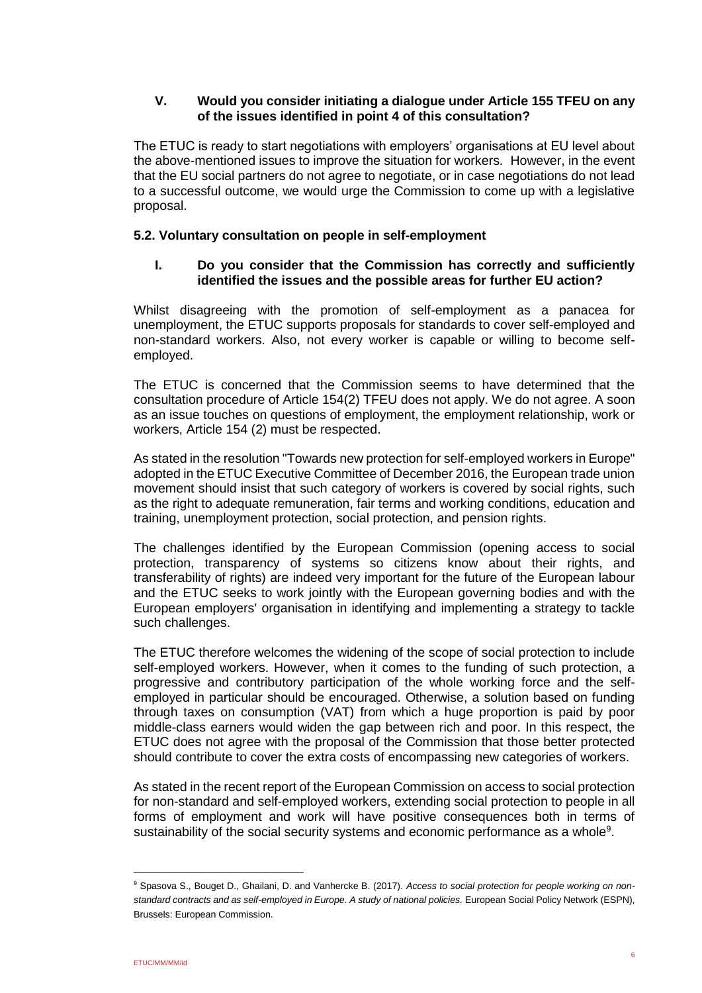# **V. Would you consider initiating a dialogue under Article 155 TFEU on any of the issues identified in point 4 of this consultation?**

The ETUC is ready to start negotiations with employers' organisations at EU level about the above-mentioned issues to improve the situation for workers. However, in the event that the EU social partners do not agree to negotiate, or in case negotiations do not lead to a successful outcome, we would urge the Commission to come up with a legislative proposal.

# **5.2. Voluntary consultation on people in self-employment**

# **I. Do you consider that the Commission has correctly and sufficiently identified the issues and the possible areas for further EU action?**

Whilst disagreeing with the promotion of self-employment as a panacea for unemployment, the ETUC supports proposals for standards to cover self-employed and non-standard workers. Also, not every worker is capable or willing to become selfemployed.

The ETUC is concerned that the Commission seems to have determined that the consultation procedure of Article 154(2) TFEU does not apply. We do not agree. A soon as an issue touches on questions of employment, the employment relationship, work or workers, Article 154 (2) must be respected.

As stated in the resolution "Towards new protection for self-employed workers in Europe" adopted in the ETUC Executive Committee of December 2016, the European trade union movement should insist that such category of workers is covered by social rights, such as the right to adequate remuneration, fair terms and working conditions, education and training, unemployment protection, social protection, and pension rights.

The challenges identified by the European Commission (opening access to social protection, transparency of systems so citizens know about their rights, and transferability of rights) are indeed very important for the future of the European labour and the ETUC seeks to work jointly with the European governing bodies and with the European employers' organisation in identifying and implementing a strategy to tackle such challenges.

The ETUC therefore welcomes the widening of the scope of social protection to include self-employed workers. However, when it comes to the funding of such protection, a progressive and contributory participation of the whole working force and the selfemployed in particular should be encouraged. Otherwise, a solution based on funding through taxes on consumption (VAT) from which a huge proportion is paid by poor middle-class earners would widen the gap between rich and poor. In this respect, the ETUC does not agree with the proposal of the Commission that those better protected should contribute to cover the extra costs of encompassing new categories of workers.

As stated in the recent report of the European Commission on access to social protection for non-standard and self-employed workers, extending social protection to people in all forms of employment and work will have positive consequences both in terms of sustainability of the social security systems and economic performance as a whole<sup>9</sup>.

<sup>9</sup> Spasova S., Bouget D., Ghailani, D. and Vanhercke B. (2017). *Access to social protection for people working on nonstandard contracts and as self-employed in Europe. A study of national policies.* European Social Policy Network (ESPN), Brussels: European Commission.